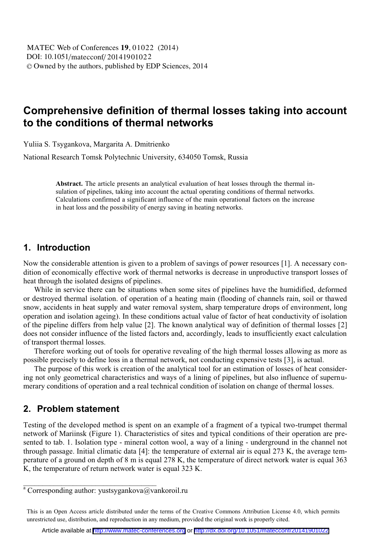# **Comprehensive definition of thermal losses taking into account to the conditions of thermal networks**

Yuliia S. Tsygankova, Margarita А. Dmitrienko

National Research Tomsk Polytechnic University, 634050 Tomsk, Russia

**Abstract.** The article presents an analytical evaluation of heat losses through the thermal insulation of pipelines, taking into account the actual operating conditions of thermal networks. Calculations confirmed a significant influence of the main operational factors on the increase in heat loss and the possibility of energy saving in heating networks.

### **1. Introduction**

Now the considerable attention is given to a problem of savings of power resources [1]. A necessary condition of economically effective work of thermal networks is decrease in unproductive transport losses of heat through the isolated designs of pipelines.

While in service there can be situations when some sites of pipelines have the humidified, deformed or destroyed thermal isolation. of operation of a heating main (flooding of channels rain, soil or thawed snow, accidents in heat supply and water removal system, sharp temperature drops of environment, long operation and isolation ageing). In these conditions actual value of factor of heat conductivity of isolation of the pipeline differs from help value [2]. The known analytical way of definition of thermal losses [2] does not consider influence of the listed factors and, accordingly, leads to insufficiently exact calculation of transport thermal losses.

Therefore working out of tools for operative revealing of the high thermal losses allowing as more as possible precisely to define loss in a thermal network, not conducting expensive tests [3], is actual.

The purpose of this work is creation of the analytical tool for an estimation of losses of heat considering not only geometrical characteristics and ways of a lining of pipelines, but also influence of supernumerary conditions of operation and a real technical condition of isolation on change of thermal losses.

### **2. Problem statement**

Testing of the developed method is spent on an example of a fragment of a typical two-trumpet thermal network of Mariinsk (Figure 1). Characteristics of sites and typical conditions of their operation are presented to tab. 1. Isolation type - mineral cotton wool, a way of a lining - underground in the channel not through passage. Initial climatic data [4]: the temperature of external air is equal 273 K, the average temperature of a ground on depth of 8 m is equal 278 K, the temperature of direct network water is equal 363 K, the temperature of return network water is equal 323 K.

\_\_\_\_\_\_\_\_\_\_\_\_\_\_\_\_\_\_\_\_\_\_\_\_\_\_\_\_\_\_\_\_\_\_\_

<sup>&</sup>lt;sup>a</sup> Corresponding author: yustsygankova@vankoroil.ru

This is an Open Access article distributed under the terms of the Creative Commons Attribution License 4.0, which permits unrestricted use, distribution, and reproduction in any medium, provided the original work is properly cited.

Article available at <http://www.matec-conferences.org> or <http://dx.doi.org/10.1051/matecconf/20141901022>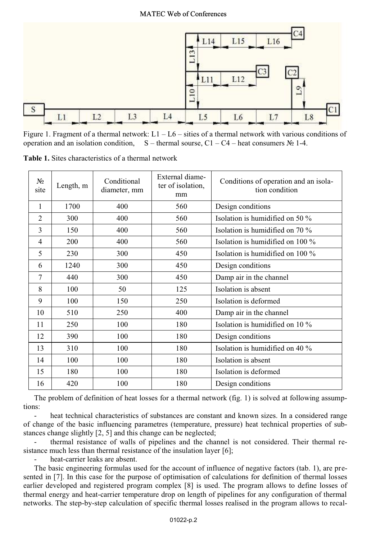

Figure 1. Fragment of a thermal network:  $L1 - L6 -$  sities of a thermal network with various conditions of operation and an isolation condition,  $S$  – thermal sourse, C1 – C4 – heat consumers  $N_2$  1-4.

**Table 1.** Sites characteristics of a thermal network

| $N_2$<br>site  | Length, m | Conditional<br>diameter, mm | External diame-<br>ter of isolation,<br>mm | Conditions of operation and an isola-<br>tion condition |  |
|----------------|-----------|-----------------------------|--------------------------------------------|---------------------------------------------------------|--|
| 1              | 1700      | 400                         | 560                                        | Design conditions                                       |  |
| $\overline{2}$ | 300       | 400                         | 560                                        | Isolation is humidified on 50 %                         |  |
| 3              | 150       | 400                         | 560                                        | Isolation is humidified on $70\%$                       |  |
| 4              | 200       | 400                         | 560                                        | Isolation is humidified on 100 %                        |  |
| 5              | 230       | 300                         | 450                                        | Isolation is humidified on $100\%$                      |  |
| 6              | 1240      | 300                         | 450                                        | Design conditions                                       |  |
| 7              | 440       | 300                         | 450                                        | Damp air in the channel                                 |  |
| 8              | 100       | 50                          | 125                                        | Isolation is absent                                     |  |
| 9              | 100       | 150                         | 250                                        | Isolation is deformed                                   |  |
| 10             | 510       | 250                         | 400                                        | Damp air in the channel                                 |  |
| 11             | 250       | 100                         | 180                                        | Isolation is humidified on $10\%$                       |  |
| 12             | 390       | 100                         | 180                                        | Design conditions                                       |  |
| 13             | 310       | 100                         | 180                                        | Isolation is humidified on 40 %                         |  |
| 14             | 100       | 100                         | 180                                        | Isolation is absent                                     |  |
| 15             | 180       | 100                         | 180                                        | Isolation is deformed                                   |  |
| 16             | 420       | 100                         | 180                                        | Design conditions                                       |  |

The problem of definition of heat losses for a thermal network (fig. 1) is solved at following assumptions:

heat technical characteristics of substances are constant and known sizes. In a considered range of change of the basic influencing parametres (temperature, pressure) heat technical properties of substances change slightly [2, 5] and this change can be neglected;

thermal resistance of walls of pipelines and the channel is not considered. Their thermal resistance much less than thermal resistance of the insulation layer [6];

- heat-carrier leaks are absent.

The basic engineering formulas used for the account of influence of negative factors (tab. 1), are presented in [7]. In this case for the purpose of optimisation of calculations for definition of thermal losses earlier developed and registered program complex [8] is used. The program allows to define losses of thermal energy and heat-carrier temperature drop on length of pipelines for any configuration of thermal networks. The step-by-step calculation of specific thermal losses realised in the program allows to recal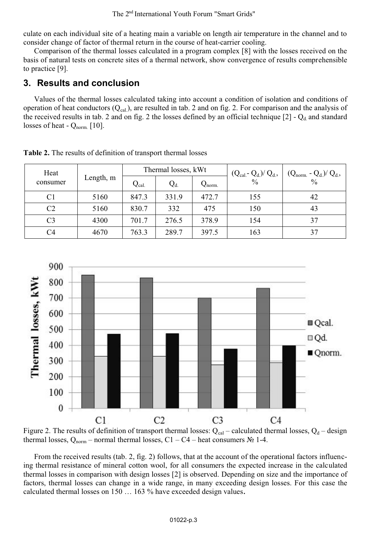culate on each individual site of a heating main a variable on length air temperature in the channel and to consider change of factor of thermal return in the course of heat-carrier cooling.

Comparison of the thermal losses calculated in a program complex [8] with the losses received on the basis of natural tests on concrete sites of a thermal network, show convergence of results comprehensible to practice [9].

## **3. Results and conclusion**

Values of the thermal losses calculated taking into account a condition of isolation and conditions of operation of heat conductors  $(Q_{cal})$ , are resulted in tab. 2 and on fig. 2. For comparison and the analysis of the received results in tab. 2 and on fig. 2 the losses defined by an official technique  $[2]$  -  $Q_d$  and standard losses of heat -  $Q_{norm}$  [10].

| Heat     | Length, m | Thermal losses, kWt |       |                 | $(Q_{cal} - Q_d)/Q_d$ | $(Q_{norm.} - Q_d)/Q_d$ , |
|----------|-----------|---------------------|-------|-----------------|-----------------------|---------------------------|
| consumer |           | $Q_{cal.}$          | $Q_d$ | $Q_{\rm norm.}$ | $\frac{0}{0}$         | $\frac{0}{0}$             |
| C1       | 5160      | 847.3               | 331.9 | 472.7           | 155                   | 42                        |
| C2       | 5160      | 830.7               | 332   | 475             | 150                   | 43                        |
| C3       | 4300      | 701.7               | 276.5 | 378.9           | 154                   |                           |
| C4       | 4670      | 763.3               | 289.7 | 397.5           | 163                   |                           |

**Table 2.** The results of definition of transport thermal losses



Figure 2. The results of definition of transport thermal losses:  $Q_{cal}$  – calculated thermal losses,  $Q_d$  – design thermal losses,  $Q_{norm}$  – normal thermal losses, C1 – C4 – heat consumers  $N_2$  1-4.

 From the received results (tab. 2, fig. 2) follows, that at the account of the operational factors influencing thermal resistance of mineral cotton wool, for all consumers the expected increase in the calculated thermal losses in comparison with design losses [2] is observed. Depending on size and the importance of factors, thermal losses can change in a wide range, in many exceeding design losses. For this case the calculated thermal losses on 150 … 163 % have exceeded design values.